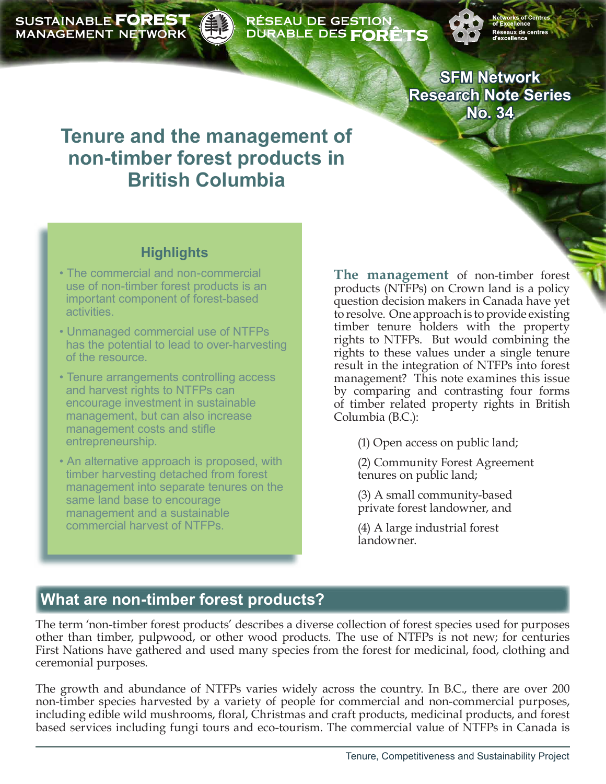**SUSTAINABLE FOREST MANAGEMENT NETWORK** 

#### RÉSEAU DE GESTION **DURABLE DES FORÊTS**

**SFM Network Research Note Series No. 34**

# **Tenure and the management of non-timber forest products in British Columbia**

### **Highlights**

- The commercial and non-commercial use of non-timber forest products is an important component of forest-based activities.
- Unmanaged commercial use of NTFPs has the potential to lead to over-harvesting of the resource.
- Tenure arrangements controlling access and harvest rights to NTFPs can encourage investment in sustainable management, but can also increase management costs and stifle entrepreneurship.
- An alternative approach is proposed, with timber harvesting detached from forest management into separate tenures on the same land base to encourage management and a sustainable commercial harvest of NTFPs.

**The management** of non-timber forest products (NTFPs) on Crown land is a policy question decision makers in Canada have yet to resolve. One approach is to provide existing timber tenure holders with the property rights to NTFPs. But would combining the rights to these values under a single tenure result in the integration of NTFPs into forest management? This note examines this issue by comparing and contrasting four forms of timber related property rights in British Columbia (B.C.):

(1) Open access on public land;

(2) Community Forest Agreement tenures on public land;

(3) A small community-based private forest landowner, and

(4) A large industrial forest landowner.

# **What are non-timber forest products?**

The term 'non-timber forest products' describes a diverse collection of forest species used for purposes other than timber, pulpwood, or other wood products. The use of NTFPs is not new; for centuries First Nations have gathered and used many species from the forest for medicinal, food, clothing and ceremonial purposes.

The growth and abundance of NTFPs varies widely across the country. In B.C., there are over 200 non-timber species harvested by a variety of people for commercial and non-commercial purposes, including edible wild mushrooms, floral, Christmas and craft products, medicinal products, and forest based services including fungi tours and eco-tourism. The commercial value of NTFPs in Canada is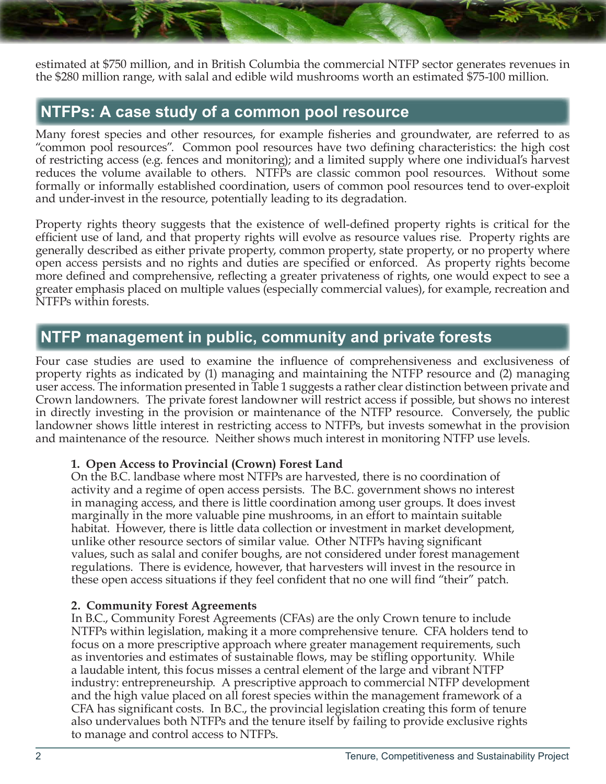estimated at \$750 million, and in British Columbia the commercial NTFP sector generates revenues in the \$280 million range, with salal and edible wild mushrooms worth an estimated \$75-100 million.

### **NTFPs: A case study of a common pool resource**

Many forest species and other resources, for example fisheries and groundwater, are referred to as "common pool resources". Common pool resources have two defining characteristics: the high cost of restricting access (e.g. fences and monitoring); and a limited supply where one individual's harvest reduces the volume available to others. NTFPs are classic common pool resources. Without some formally or informally established coordination, users of common pool resources tend to over-exploit and under-invest in the resource, potentially leading to its degradation.

Property rights theory suggests that the existence of well-defined property rights is critical for the efficient use of land, and that property rights will evolve as resource values rise. Property rights are generally described as either private property, common property, state property, or no property where open access persists and no rights and duties are specified or enforced. As property rights become more defined and comprehensive, reflecting a greater privateness of rights, one would expect to see a greater emphasis placed on multiple values (especially commercial values), for example, recreation and NTFPs within forests.

## **NTFP management in public, community and private forests**

Four case studies are used to examine the influence of comprehensiveness and exclusiveness of property rights as indicated by (1) managing and maintaining the NTFP resource and (2) managing user access. The information presented in Table 1 suggests a rather clear distinction between private and Crown landowners. The private forest landowner will restrict access if possible, but shows no interest in directly investing in the provision or maintenance of the NTFP resource. Conversely, the public landowner shows little interest in restricting access to NTFPs, but invests somewhat in the provision and maintenance of the resource. Neither shows much interest in monitoring NTFP use levels.

#### **1. Open Access to Provincial (Crown) Forest Land**

On the B.C. landbase where most NTFPs are harvested, there is no coordination of activity and a regime of open access persists. The B.C. government shows no interest in managing access, and there is little coordination among user groups. It does invest marginally in the more valuable pine mushrooms, in an effort to maintain suitable habitat. However, there is little data collection or investment in market development, unlike other resource sectors of similar value. Other NTFPs having significant values, such as salal and conifer boughs, are not considered under forest management regulations. There is evidence, however, that harvesters will invest in the resource in these open access situations if they feel confident that no one will find "their" patch.

#### **2. Community Forest Agreements**

In B.C., Community Forest Agreements (CFAs) are the only Crown tenure to include NTFPs within legislation, making it a more comprehensive tenure. CFA holders tend to focus on a more prescriptive approach where greater management requirements, such as inventories and estimates of sustainable flows, may be stifling opportunity. While a laudable intent, this focus misses a central element of the large and vibrant NTFP industry: entrepreneurship. A prescriptive approach to commercial NTFP development and the high value placed on all forest species within the management framework of a CFA has significant costs. In B.C., the provincial legislation creating this form of tenure also undervalues both NTFPs and the tenure itself by failing to provide exclusive rights to manage and control access to NTFPs.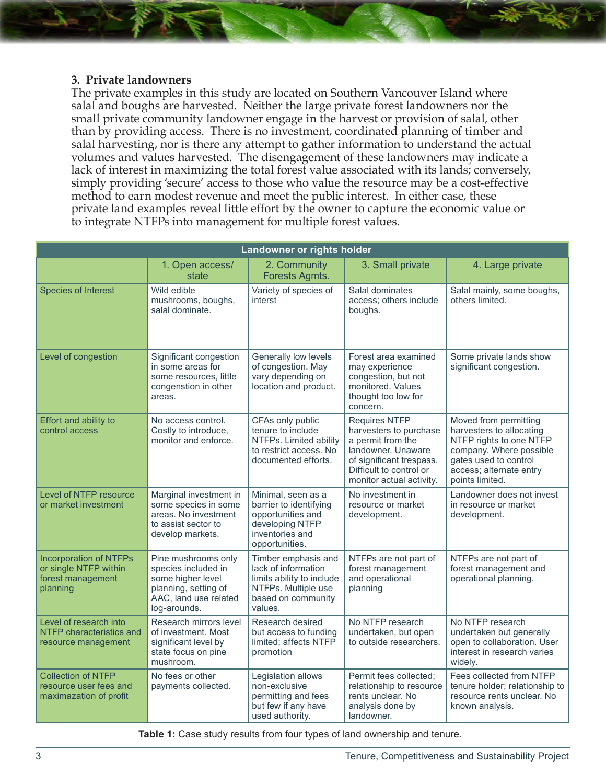#### **3. Private landowners**

The private examples in this study are located on Southern Vancouver Island where salal and boughs are harvested. Neither the large private forest landowners nor the small private community landowner engage in the harvest or provision of salal, other than by providing access. There is no investment, coordinated planning of timber and salal harvesting, nor is there any attempt to gather information to understand the actual volumes and values harvested. The disengagement of these landowners may indicate a lack of interest in maximizing the total forest value associated with its lands; conversely, simply providing 'secure' access to those who value the resource may be a cost-effective method to earn modest revenue and meet the public interest. In either case, these private land examples reveal little effort by the owner to capture the economic value or to integrate NTFPs into management for multiple forest values.

| Landowner or rights holder                                                              |                                                                                                                                  |                                                                                                                                 |                                                                                                                                                                              |                                                                                                                                                                                |
|-----------------------------------------------------------------------------------------|----------------------------------------------------------------------------------------------------------------------------------|---------------------------------------------------------------------------------------------------------------------------------|------------------------------------------------------------------------------------------------------------------------------------------------------------------------------|--------------------------------------------------------------------------------------------------------------------------------------------------------------------------------|
|                                                                                         | 1. Open access/<br>state                                                                                                         | 2. Community<br>Forests Agmts.                                                                                                  | 3. Small private                                                                                                                                                             | 4. Large private                                                                                                                                                               |
| <b>Species of Interest</b>                                                              | Wild edible<br>mushrooms, boughs,<br>salal dominate.                                                                             | Variety of species of<br>interst                                                                                                | Salal dominates<br>access; others include<br>boughs.                                                                                                                         | Salal mainly, some boughs,<br>others limited.                                                                                                                                  |
| Level of congestion                                                                     | Significant congestion<br>in some areas for<br>some resources, little<br>congenstion in other<br>areas.                          | Generally low levels<br>of congestion. May<br>vary depending on<br>location and product.                                        | Forest area examined<br>may experience<br>congestion, but not<br>monitored. Values<br>thought too low for<br>concern.                                                        | Some private lands show<br>significant congestion.                                                                                                                             |
| Effort and ability to<br>control access                                                 | No access control.<br>Costly to introduce,<br>monitor and enforce.                                                               | CFAs only public<br>tenure to include<br>NTFPs. Limited ability<br>to restrict access. No<br>documented efforts.                | <b>Requires NTFP</b><br>harvesters to purchase<br>a permit from the<br>landowner. Unaware<br>of significant trespass.<br>Difficult to control or<br>monitor actual activity. | Moved from permitting<br>harvesters to allocating<br>NTFP rights to one NTFP<br>company. Where possible<br>gates used to control<br>access; alternate entry<br>points limited. |
| Level of NTFP resource<br>or market investment                                          | Marginal investment in<br>some species in some<br>areas. No investment<br>to assist sector to<br>develop markets.                | Minimal, seen as a<br>barrier to identifying<br>opportunities and<br>developing NTFP<br>inventories and<br>opportunities.       | No investment in<br>resource or market<br>development.                                                                                                                       | Landowner does not invest<br>in resource or market<br>development.                                                                                                             |
| <b>Incorporation of NTFPs</b><br>or single NTFP within<br>forest management<br>planning | Pine mushrooms only<br>species included in<br>some higher level<br>planning, setting of<br>AAC, land use related<br>log-arounds. | Timber emphasis and<br>lack of information<br>limits ability to include<br>NTFPs. Multiple use<br>based on community<br>values. | NTFPs are not part of<br>forest management<br>and operational<br>planning                                                                                                    | NTFPs are not part of<br>forest management and<br>operational planning.                                                                                                        |
| Level of research into<br>NTFP characteristics and<br>resource management               | Research mirrors level<br>of investment. Most<br>significant level by<br>state focus on pine<br>mushroom.                        | Research desired<br>but access to funding<br>limited; affects NTFP<br>promotion                                                 | No NTFP research<br>undertaken, but open<br>to outside researchers.                                                                                                          | No NTFP research<br>undertaken but generally<br>open to collaboration. User<br>interest in research varies<br>widely.                                                          |
| <b>Collection of NTFP</b><br>resource user fees and<br>maximazation of profit           | No fees or other<br>payments collected.                                                                                          | Legislation allows<br>non-exclusive<br>permitting and fees<br>but few if any have<br>used authority.                            | Permit fees collected;<br>relationship to resource<br>rents unclear. No<br>analysis done by<br>landowner.                                                                    | Fees collected from NTFP<br>tenure holder; relationship to<br>resource rents unclear. No<br>known analysis.                                                                    |

**Table 1:** Case study results from four types of land ownership and tenure.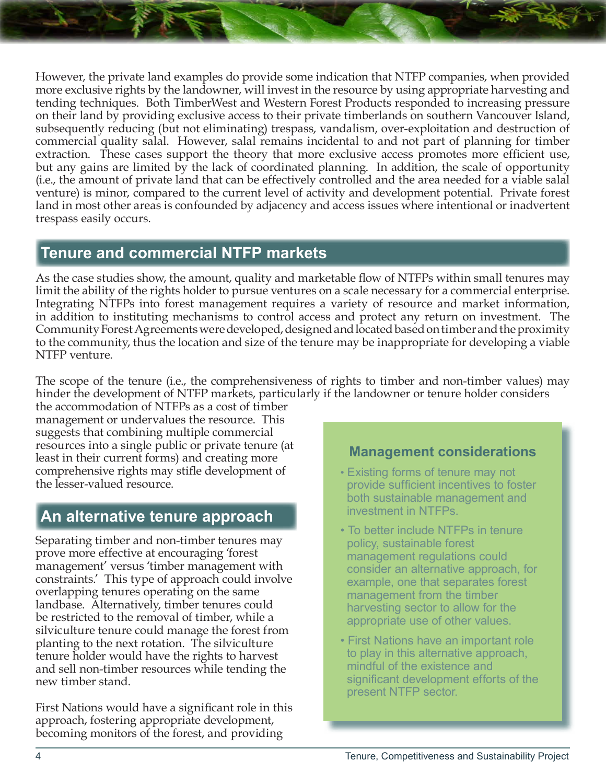However, the private land examples do provide some indication that NTFP companies, when provided more exclusive rights by the landowner, will invest in the resource by using appropriate harvesting and tending techniques. Both TimberWest and Western Forest Products responded to increasing pressure on their land by providing exclusive access to their private timberlands on southern Vancouver Island, subsequently reducing (but not eliminating) trespass, vandalism, over-exploitation and destruction of commercial quality salal. However, salal remains incidental to and not part of planning for timber extraction. These cases support the theory that more exclusive access promotes more efficient use, but any gains are limited by the lack of coordinated planning. In addition, the scale of opportunity (i.e., the amount of private land that can be effectively controlled and the area needed for a viable salal venture) is minor, compared to the current level of activity and development potential. Private forest land in most other areas is confounded by adjacency and access issues where intentional or inadvertent trespass easily occurs.

# **Tenure and commercial NTFP markets**

As the case studies show, the amount, quality and marketable flow of NTFPs within small tenures may limit the ability of the rights holder to pursue ventures on a scale necessary for a commercial enterprise. Integrating NTFPs into forest management requires a variety of resource and market information, in addition to instituting mechanisms to control access and protect any return on investment. The Community Forest Agreements were developed, designed and located based on timber and the proximity to the community, thus the location and size of the tenure may be inappropriate for developing a viable NTFP venture.

The scope of the tenure (i.e., the comprehensiveness of rights to timber and non-timber values) may hinder the development of NTFP markets, particularly if the landowner or tenure holder considers

the accommodation of NTFPs as a cost of timber management or undervalues the resource. This suggests that combining multiple commercial resources into a single public or private tenure (at least in their current forms) and creating more comprehensive rights may stifle development of the lesser-valued resource.

# **An alternative tenure approach**

Separating timber and non-timber tenures may prove more effective at encouraging 'forest management' versus 'timber management with constraints.' This type of approach could involve overlapping tenures operating on the same landbase. Alternatively, timber tenures could be restricted to the removal of timber, while a silviculture tenure could manage the forest from planting to the next rotation. The silviculture tenure holder would have the rights to harvest and sell non-timber resources while tending the new timber stand.

First Nations would have a significant role in this approach, fostering appropriate development, becoming monitors of the forest, and providing

### **Management considerations**

- Existing forms of tenure may not provide sufficient incentives to foster both sustainable management and investment in NTFPs.
- To better include NTFPs in tenure policy, sustainable forest management regulations could consider an alternative approach, for example, one that separates forest management from the timber harvesting sector to allow for the appropriate use of other values.
- First Nations have an important role to play in this alternative approach, mindful of the existence and significant development efforts of the present NTFP sector.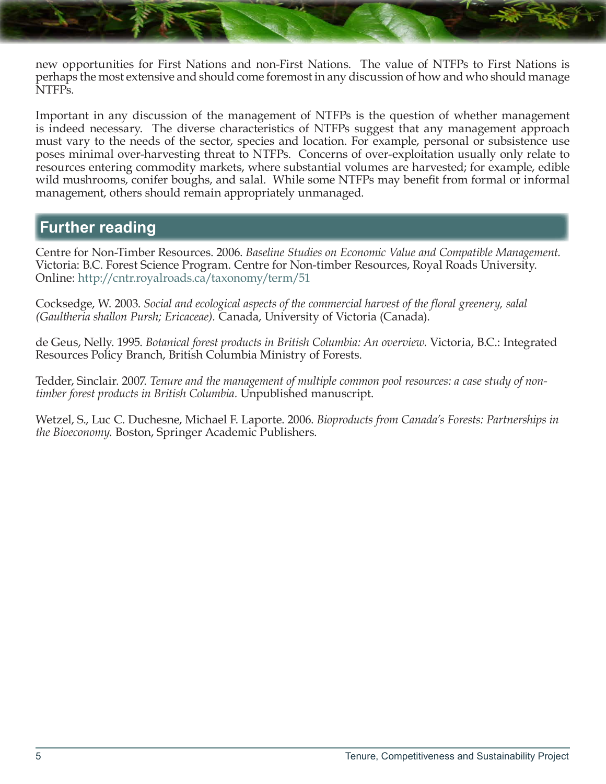new opportunities for First Nations and non-First Nations. The value of NTFPs to First Nations is perhaps the most extensive and should come foremost in any discussion of how and who should manage NTFPs.

Important in any discussion of the management of NTFPs is the question of whether management is indeed necessary. The diverse characteristics of NTFPs suggest that any management approach must vary to the needs of the sector, species and location. For example, personal or subsistence use poses minimal over-harvesting threat to NTFPs. Concerns of over-exploitation usually only relate to resources entering commodity markets, where substantial volumes are harvested; for example, edible wild mushrooms, conifer boughs, and salal. While some NTFPs may benefit from formal or informal management, others should remain appropriately unmanaged.

### **Further reading**

Centre for Non-Timber Resources. 2006. *Baseline Studies on Economic Value and Compatible Management.*  Victoria: B.C. Forest Science Program. Centre for Non-timber Resources, Royal Roads University. Online: <http://cntr.royalroads.ca/taxonomy/term/51>

Cocksedge, W. 2003. *Social and ecological aspects of the commercial harvest of the floral greenery, salal (Gaultheria shallon Pursh; Ericaceae).* Canada, University of Victoria (Canada).

de Geus, Nelly. 1995. *Botanical forest products in British Columbia: An overview.* Victoria, B.C.: Integrated Resources Policy Branch, British Columbia Ministry of Forests.

Tedder, Sinclair. 2007. *Tenure and the management of multiple common pool resources: a case study of nontimber forest products in British Columbia.* Unpublished manuscript.

Wetzel, S., Luc C. Duchesne, Michael F. Laporte. 2006. *Bioproducts from Canada's Forests: Partnerships in the Bioeconomy.* Boston, Springer Academic Publishers.